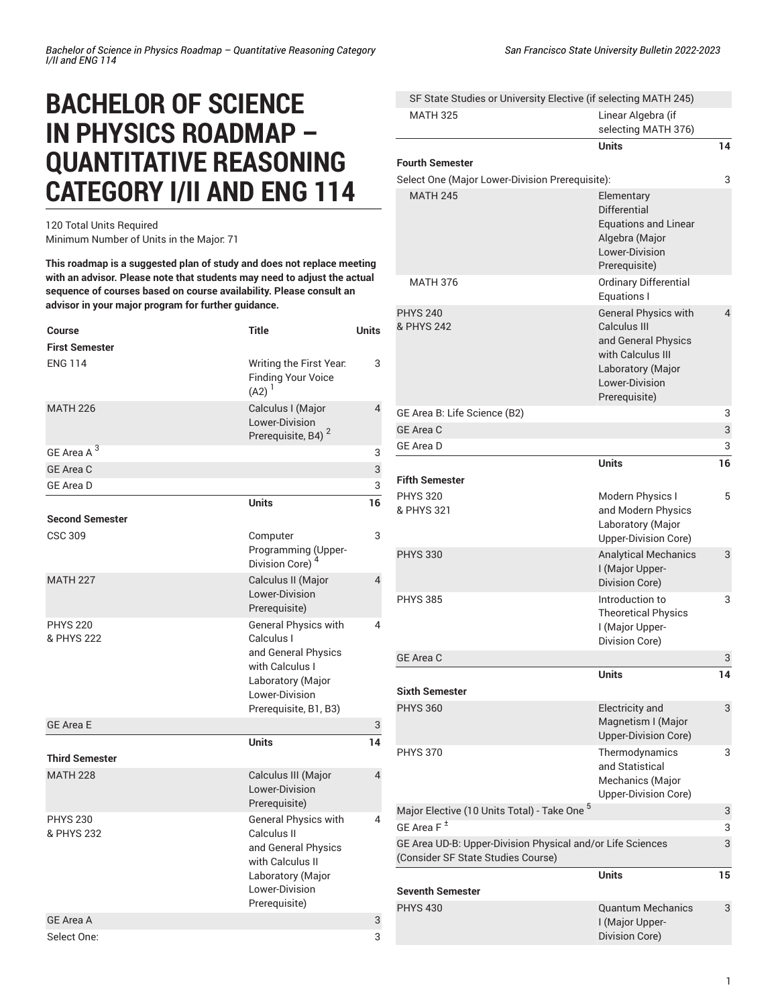## **BACHELOR OF SCIENCE IN PHYSICS ROADMAP – QUANTITATIVE REASONING CATEGORY I/II AND ENG 114**

120 Total Units Required Minimum Number of Units in the Major: 71

**This roadmap is a suggested plan of study and does not replace meeting with an advisor. Please note that students may need to adjust the actual sequence of courses based on course availability. Please consult an advisor in your major program for further guidance.**

| Course<br><b>First Semester</b> | <b>Title</b>                                                                                                                                 | <b>Units</b>   |
|---------------------------------|----------------------------------------------------------------------------------------------------------------------------------------------|----------------|
| <b>ENG 114</b>                  | Writing the First Year.<br><b>Finding Your Voice</b><br>$(A2)^1$                                                                             | 3              |
| <b>MATH 226</b>                 | Calculus I (Major<br>Lower-Division<br>Prerequisite, B4) <sup>2</sup>                                                                        | $\overline{4}$ |
| GE Area A <sup>3</sup>          |                                                                                                                                              | 3              |
| <b>GE Area C</b>                |                                                                                                                                              | 3              |
| <b>GE Area D</b>                |                                                                                                                                              | 3              |
| <b>Second Semester</b>          | <b>Units</b>                                                                                                                                 | 16             |
| <b>CSC 309</b>                  | Computer<br>Programming (Upper-<br>Division Core) <sup>4</sup>                                                                               | 3              |
| <b>MATH 227</b>                 | Calculus II (Major<br>Lower-Division<br>Prerequisite)                                                                                        | $\overline{4}$ |
| <b>PHYS 220</b><br>& PHYS 222   | General Physics with<br>Calculus I<br>and General Physics<br>with Calculus I<br>Laboratory (Major<br>Lower-Division<br>Prerequisite, B1, B3) | 4              |
| <b>GE Area E</b>                |                                                                                                                                              | 3              |
| <b>Third Semester</b>           | Units                                                                                                                                        | 14             |
| <b>MATH 228</b>                 | Calculus III (Major<br>Lower-Division<br>Prerequisite)                                                                                       | $\overline{4}$ |
| <b>PHYS 230</b><br>& PHYS 232   | General Physics with<br>Calculus II<br>and General Physics<br>with Calculus II<br>Laboratory (Major<br>Lower-Division<br>Prerequisite)       | 4              |
| <b>GE Area A</b>                |                                                                                                                                              | 3              |
| Select One:                     |                                                                                                                                              | 3              |

MATH 325 Linear Algebra (if selecting MATH 376) **Units 14 Fourth Semester** Select One (Major Lower-Division Prerequisite): 3 MATH 245 **Elementary** Differential Equations and Linear Algebra (Major Lower-Division Prerequisite) MATH 376 Ordinary Differential Equations I PHYS 240 & PHYS 242 General Physics with Calculus III and General Physics with Calculus III Laboratory (Major Lower-Division Prerequisite)  $\overline{A}$ GE Area B: Life [Science](/undergraduate-education/general-education/lower-division/#areabtext) (B2) 3 GE [Area](/undergraduate-education/general-education/lower-division/#areactext) C 3 GE [Area](/undergraduate-education/general-education/lower-division/#areadtext) D 3 **Units 16 Fifth Semester** PHYS 320 & PHYS 321 Modern Physics I and Modern Physics Laboratory (Major Upper-Division Core) 5 PHYS 330 Analytical Mechanics I (Major Upper-Division Core) 3 PHYS 385 Introduction to Theoretical Physics I (Major Upper-Division Core) 3 GE [Area](/undergraduate-education/general-education/lower-division/#areactext) C 3 and 3 and 3 and 3 and 3 and 3 and 3 and 3 and 3 and 3 and 3 and 3 and 3 and 3 and 3 and 3 and 3 and 3 and 3 and 3 and 3 and 3 and 3 and 3 and 3 and 3 and 3 and 3 and 3 and 3 and 3 and 3 and 3 and 3 and 3 and 3 **Units 14 Sixth Semester** PHYS 360 Electricity and Magnetism I (Major Upper-Division Core) 3 PHYS 370 Thermodynamics and Statistical Mechanics (Major Upper-Division Core) 3 Major Elective (10 Units Total) - Take One <sup>5</sup> 3 GE [Area](/undergraduate-education/general-education/lower-division/#areaftext) F  $^\pm$ 3 GE Area UD-B: [Upper-Division](/undergraduate-education/general-education/upper-division/#physicalandorlifesciencesudbtext) Physical and/or Life Sciences [\(Consider SF State Studies Course\)](/undergraduate-education/general-education/upper-division/#physicalandorlifesciencesudbtext) 3 **Units 15**

|                  | טווט                                                          | . . |
|------------------|---------------------------------------------------------------|-----|
| Seventh Semester |                                                               |     |
| <b>PHYS 430</b>  | <b>Quantum Mechanics</b><br>I (Major Upper-<br>Division Core) | 3   |

SF State Studies or [University](/undergraduate-education/sf-state-studies/) Elective (if selecting MATH 245)